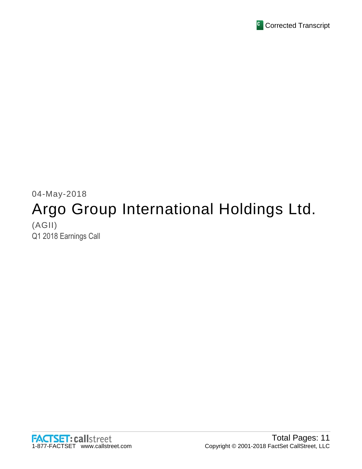

# 04-May-2018 Argo Group International Holdings Ltd. (AGII)

Q1 2018 Earnings Call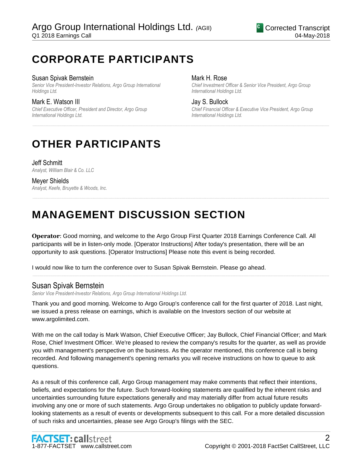# **CORPORATE PARTICIPANTS**

### Susan Spivak Bernstein

*Senior Vice President-Investor Relations, Argo Group International Holdings Ltd.*

Mark E. Watson III

*Chief Executive Officer, President and Director, Argo Group International Holdings Ltd.*

### Mark H. Rose

*International Holdings Ltd.*

*Chief Investment Officer & Senior Vice President, Argo Group International Holdings Ltd.*

Jay S. Bullock *Chief Financial Officer & Executive Vice President, Argo Group* 

# **OTHER PARTICIPANTS**

Jeff Schmitt *Analyst, William Blair & Co. LLC*

Meyer Shields *Analyst, Keefe, Bruyette & Woods, Inc.*

# **MANAGEMENT DISCUSSION SECTION**

**Operator**: Good morning, and welcome to the Argo Group First Quarter 2018 Earnings Conference Call. All participants will be in listen-only mode. [Operator Instructions] After today's presentation, there will be an opportunity to ask questions. [Operator Instructions] Please note this event is being recorded.

......................................................................................................................................................................................................................................................

......................................................................................................................................................................................................................................................

I would now like to turn the conference over to Susan Spivak Bernstein. Please go ahead.

# Susan Spivak Bernstein

*Senior Vice President-Investor Relations, Argo Group International Holdings Ltd.*

Thank you and good morning. Welcome to Argo Group's conference call for the first quarter of 2018. Last night, we issued a press release on earnings, which is available on the Investors section of our website at www.argolimited.com.

......................................................................................................................................................................................................................................................

With me on the call today is Mark Watson, Chief Executive Officer; Jay Bullock, Chief Financial Officer; and Mark Rose, Chief Investment Officer. We're pleased to review the company's results for the quarter, as well as provide you with management's perspective on the business. As the operator mentioned, this conference call is being recorded. And following management's opening remarks you will receive instructions on how to queue to ask questions.

As a result of this conference call, Argo Group management may make comments that reflect their intentions, beliefs, and expectations for the future. Such forward-looking statements are qualified by the inherent risks and uncertainties surrounding future expectations generally and may materially differ from actual future results involving any one or more of such statements. Argo Group undertakes no obligation to publicly update forwardlooking statements as a result of events or developments subsequent to this call. For a more detailed discussion of such risks and uncertainties, please see Argo Group's filings with the SEC.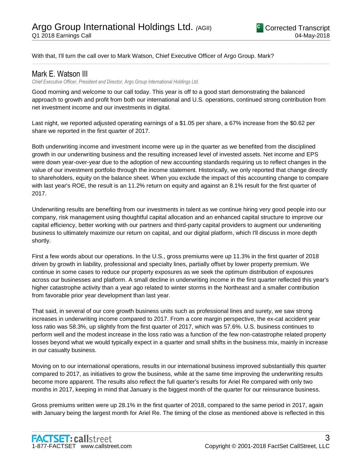With that, I'll turn the call over to Mark Watson, Chief Executive Officer of Argo Group. Mark?

# Mark E. Watson III

*Chief Executive Officer, President and Director, Argo Group International Holdings Ltd.*

Good morning and welcome to our call today. This year is off to a good start demonstrating the balanced approach to growth and profit from both our international and U.S. operations, continued strong contribution from net investment income and our investments in digital.

......................................................................................................................................................................................................................................................

Last night, we reported adjusted operating earnings of a \$1.05 per share, a 67% increase from the \$0.62 per share we reported in the first quarter of 2017.

Both underwriting income and investment income were up in the quarter as we benefited from the disciplined growth in our underwriting business and the resulting increased level of invested assets. Net income and EPS were down year-over-year due to the adoption of new accounting standards requiring us to reflect changes in the value of our investment portfolio through the income statement. Historically, we only reported that change directly to shareholders, equity on the balance sheet. When you exclude the impact of this accounting change to compare with last year's ROE, the result is an 11.2% return on equity and against an 8.1% result for the first quarter of 2017.

Underwriting results are benefiting from our investments in talent as we continue hiring very good people into our company, risk management using thoughtful capital allocation and an enhanced capital structure to improve our capital efficiency, better working with our partners and third-party capital providers to augment our underwriting business to ultimately maximize our return on capital, and our digital platform, which I'll discuss in more depth shortly.

First a few words about our operations. In the U.S., gross premiums were up 11.3% in the first quarter of 2018 driven by growth in liability, professional and specialty lines, partially offset by lower property premium. We continue in some cases to reduce our property exposures as we seek the optimum distribution of exposures across our businesses and platform. A small decline in underwriting income in the first quarter reflected this year's higher catastrophe activity than a year ago related to winter storms in the Northeast and a smaller contribution from favorable prior year development than last year.

That said, in several of our core growth business units such as professional lines and surety, we saw strong increases in underwriting income compared to 2017. From a core margin perspective, the ex-cat accident year loss ratio was 58.3%, up slightly from the first quarter of 2017, which was 57.6%. U.S. business continues to perform well and the modest increase in the loss ratio was a function of the few non-catastrophe related property losses beyond what we would typically expect in a quarter and small shifts in the business mix, mainly in increase in our casualty business.

Moving on to our international operations, results in our international business improved substantially this quarter compared to 2017, as initiatives to grow the business, while at the same time improving the underwriting results become more apparent. The results also reflect the full quarter's results for Ariel Re compared with only two months in 2017, keeping in mind that January is the biggest month of the quarter for our reinsurance business.

Gross premiums written were up 28.1% in the first quarter of 2018, compared to the same period in 2017, again with January being the largest month for Ariel Re. The timing of the close as mentioned above is reflected in this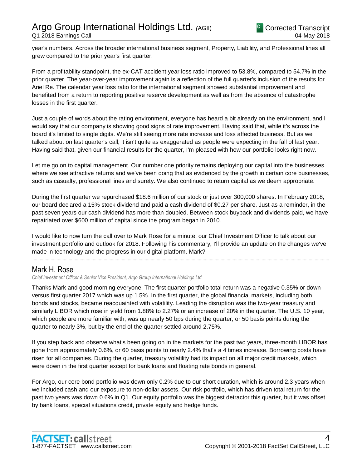year's numbers. Across the broader international business segment, Property, Liability, and Professional lines all grew compared to the prior year's first quarter.

From a profitability standpoint, the ex-CAT accident year loss ratio improved to 53.8%, compared to 54.7% in the prior quarter. The year-over-year improvement again is a reflection of the full quarter's inclusion of the results for Ariel Re. The calendar year loss ratio for the international segment showed substantial improvement and benefited from a return to reporting positive reserve development as well as from the absence of catastrophe losses in the first quarter.

Just a couple of words about the rating environment, everyone has heard a bit already on the environment, and I would say that our company is showing good signs of rate improvement. Having said that, while it's across the board it's limited to single digits. We're still seeing more rate increase and loss affected business. But as we talked about on last quarter's call, it isn't quite as exaggerated as people were expecting in the fall of last year. Having said that, given our financial results for the quarter, I'm pleased with how our portfolio looks right now.

Let me go on to capital management. Our number one priority remains deploying our capital into the businesses where we see attractive returns and we've been doing that as evidenced by the growth in certain core businesses, such as casualty, professional lines and surety. We also continued to return capital as we deem appropriate.

During the first quarter we repurchased \$18.6 million of our stock or just over 300,000 shares. In February 2018, our board declared a 15% stock dividend and paid a cash dividend of \$0.27 per share. Just as a reminder, in the past seven years our cash dividend has more than doubled. Between stock buyback and dividends paid, we have repatriated over \$600 million of capital since the program began in 2010.

I would like to now turn the call over to Mark Rose for a minute, our Chief Investment Officer to talk about our investment portfolio and outlook for 2018. Following his commentary, I'll provide an update on the changes we've made in technology and the progress in our digital platform. Mark?

......................................................................................................................................................................................................................................................

# Mark H. Rose

*Chief Investment Officer & Senior Vice President, Argo Group International Holdings Ltd.*

Thanks Mark and good morning everyone. The first quarter portfolio total return was a negative 0.35% or down versus first quarter 2017 which was up 1.5%. In the first quarter, the global financial markets, including both bonds and stocks, became reacquainted with volatility. Leading the disruption was the two-year treasury and similarly LIBOR which rose in yield from 1.88% to 2.27% or an increase of 20% in the quarter. The U.S. 10 year, which people are more familiar with, was up nearly 50 bps during the quarter, or 50 basis points during the quarter to nearly 3%, but by the end of the quarter settled around 2.75%.

If you step back and observe what's been going on in the markets for the past two years, three-month LIBOR has gone from approximately 0.6%, or 60 basis points to nearly 2.4% that's a 4 times increase. Borrowing costs have risen for all companies. During the quarter, treasury volatility had its impact on all major credit markets, which were down in the first quarter except for bank loans and floating rate bonds in general.

For Argo, our core bond portfolio was down only 0.2% due to our short duration, which is around 2.3 years when we included cash and our exposure to non-dollar assets. Our risk portfolio, which has driven total return for the past two years was down 0.6% in Q1. Our equity portfolio was the biggest detractor this quarter, but it was offset by bank loans, special situations credit, private equity and hedge funds.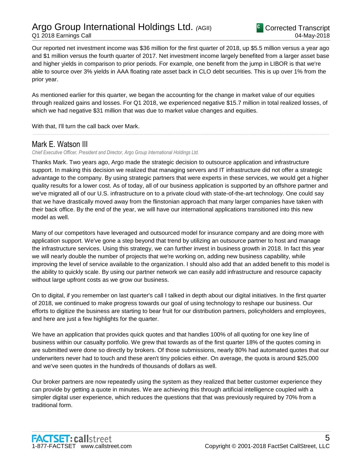# Argo Group International Holdings Ltd. *(*AGII) Q1 2018 Earnings Call

Our reported net investment income was \$36 million for the first quarter of 2018, up \$5.5 million versus a year ago and \$1 million versus the fourth quarter of 2017. Net investment income largely benefited from a larger asset base and higher yields in comparison to prior periods. For example, one benefit from the jump in LIBOR is that we're able to source over 3% yields in AAA floating rate asset back in CLO debt securities. This is up over 1% from the prior year.

As mentioned earlier for this quarter, we began the accounting for the change in market value of our equities through realized gains and losses. For Q1 2018, we experienced negative \$15.7 million in total realized losses, of which we had negative \$31 million that was due to market value changes and equities.

......................................................................................................................................................................................................................................................

With that, I'll turn the call back over Mark.

# Mark E. Watson III

*Chief Executive Officer, President and Director, Argo Group International Holdings Ltd.*

Thanks Mark. Two years ago, Argo made the strategic decision to outsource application and infrastructure support. In making this decision we realized that managing servers and IT infrastructure did not offer a strategic advantage to the company. By using strategic partners that were experts in these services, we would get a higher quality results for a lower cost. As of today, all of our business application is supported by an offshore partner and we've migrated all of our U.S. infrastructure on to a private cloud with state-of-the-art technology. One could say that we have drastically moved away from the flinstonian approach that many larger companies have taken with their back office. By the end of the year, we will have our international applications transitioned into this new model as well.

Many of our competitors have leveraged and outsourced model for insurance company and are doing more with application support. We've gone a step beyond that trend by utilizing an outsource partner to host and manage the infrastructure services. Using this strategy, we can further invest in business growth in 2018. In fact this year we will nearly double the number of projects that we're working on, adding new business capability, while improving the level of service available to the organization. I should also add that an added benefit to this model is the ability to quickly scale. By using our partner network we can easily add infrastructure and resource capacity without large upfront costs as we grow our business.

On to digital, if you remember on last quarter's call I talked in depth about our digital initiatives. In the first quarter of 2018, we continued to make progress towards our goal of using technology to reshape our business. Our efforts to digitize the business are starting to bear fruit for our distribution partners, policyholders and employees, and here are just a few highlights for the quarter.

We have an application that provides quick quotes and that handles 100% of all quoting for one key line of business within our casualty portfolio. We grew that towards as of the first quarter 18% of the quotes coming in are submitted were done so directly by brokers. Of those submissions, nearly 80% had automated quotes that our underwriters never had to touch and these aren't tiny policies either. On average, the quota is around \$25,000 and we've seen quotes in the hundreds of thousands of dollars as well.

Our broker partners are now repeatedly using the system as they realized that better customer experience they can provide by getting a quote in minutes. We are achieving this through artificial intelligence coupled with a simpler digital user experience, which reduces the questions that that was previously required by 70% from a traditional form.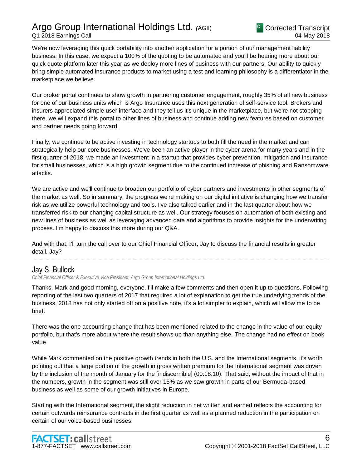# Argo Group International Holdings Ltd. *(*AGII)

Q1 2018 Earnings Call

We're now leveraging this quick portability into another application for a portion of our management liability business. In this case, we expect a 100% of the quoting to be automated and you'll be hearing more about our quick quote platform later this year as we deploy more lines of business with our partners. Our ability to quickly bring simple automated insurance products to market using a test and learning philosophy is a differentiator in the marketplace we believe.

Our broker portal continues to show growth in partnering customer engagement, roughly 35% of all new business for one of our business units which is Argo Insurance uses this next generation of self-service tool. Brokers and insurers appreciated simple user interface and they tell us it's unique in the marketplace, but we're not stopping there, we will expand this portal to other lines of business and continue adding new features based on customer and partner needs going forward.

Finally, we continue to be active investing in technology startups to both fill the need in the market and can strategically help our core businesses. We've been an active player in the cyber arena for many years and in the first quarter of 2018, we made an investment in a startup that provides cyber prevention, mitigation and insurance for small businesses, which is a high growth segment due to the continued increase of phishing and Ransomware attacks.

We are active and we'll continue to broaden our portfolio of cyber partners and investments in other segments of the market as well. So in summary, the progress we're making on our digital initiative is changing how we transfer risk as we utilize powerful technology and tools. I've also talked earlier and in the last quarter about how we transferred risk to our changing capital structure as well. Our strategy focuses on automation of both existing and new lines of business as well as leveraging advanced data and algorithms to provide insights for the underwriting process. I'm happy to discuss this more during our Q&A.

And with that, I'll turn the call over to our Chief Financial Officer, Jay to discuss the financial results in greater detail. Jay?

# Jay S. Bullock

*Chief Financial Officer & Executive Vice President, Argo Group International Holdings Ltd.*

Thanks, Mark and good morning, everyone. I'll make a few comments and then open it up to questions. Following reporting of the last two quarters of 2017 that required a lot of explanation to get the true underlying trends of the business, 2018 has not only started off on a positive note, it's a lot simpler to explain, which will allow me to be brief.

......................................................................................................................................................................................................................................................

There was the one accounting change that has been mentioned related to the change in the value of our equity portfolio, but that's more about where the result shows up than anything else. The change had no effect on book value.

While Mark commented on the positive growth trends in both the U.S. and the International segments, it's worth pointing out that a large portion of the growth in gross written premium for the International segment was driven by the inclusion of the month of January for the [indiscernible] (00:18:10). That said, without the impact of that in the numbers, growth in the segment was still over 15% as we saw growth in parts of our Bermuda-based business as well as some of our growth initiatives in Europe.

Starting with the International segment, the slight reduction in net written and earned reflects the accounting for certain outwards reinsurance contracts in the first quarter as well as a planned reduction in the participation on certain of our voice-based businesses.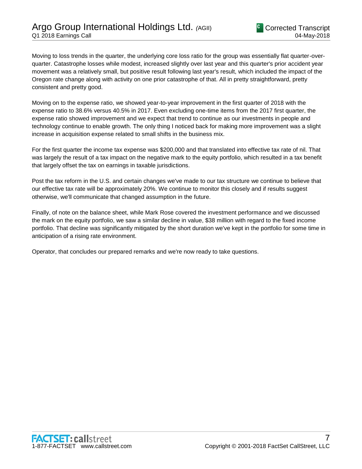Moving to loss trends in the quarter, the underlying core loss ratio for the group was essentially flat quarter-overquarter. Catastrophe losses while modest, increased slightly over last year and this quarter's prior accident year movement was a relatively small, but positive result following last year's result, which included the impact of the Oregon rate change along with activity on one prior catastrophe of that. All in pretty straightforward, pretty consistent and pretty good.

Moving on to the expense ratio, we showed year-to-year improvement in the first quarter of 2018 with the expense ratio to 38.6% versus 40.5% in 2017. Even excluding one-time items from the 2017 first quarter, the expense ratio showed improvement and we expect that trend to continue as our investments in people and technology continue to enable growth. The only thing I noticed back for making more improvement was a slight increase in acquisition expense related to small shifts in the business mix.

For the first quarter the income tax expense was \$200,000 and that translated into effective tax rate of nil. That was largely the result of a tax impact on the negative mark to the equity portfolio, which resulted in a tax benefit that largely offset the tax on earnings in taxable jurisdictions.

Post the tax reform in the U.S. and certain changes we've made to our tax structure we continue to believe that our effective tax rate will be approximately 20%. We continue to monitor this closely and if results suggest otherwise, we'll communicate that changed assumption in the future.

Finally, of note on the balance sheet, while Mark Rose covered the investment performance and we discussed the mark on the equity portfolio, we saw a similar decline in value, \$38 million with regard to the fixed income portfolio. That decline was significantly mitigated by the short duration we've kept in the portfolio for some time in anticipation of a rising rate environment.

Operator, that concludes our prepared remarks and we're now ready to take questions.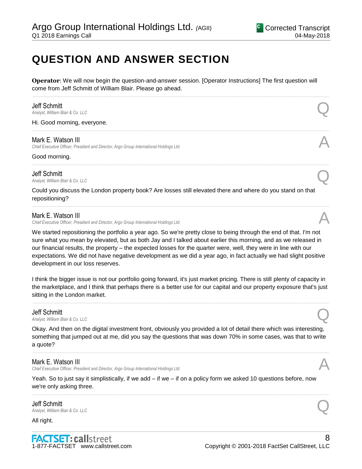# **QUESTION AND ANSWER SECTION**

**Operator**: We will now begin the question-and-answer session. [Operator Instructions] The first question will come from Jeff Schmitt of William Blair. Please go ahead.

......................................................................................................................................................................................................................................................

......................................................................................................................................................................................................................................................

......................................................................................................................................................................................................................................................

......................................................................................................................................................................................................................................................

#### Jeff Schmitt

*Analyst, William Blair & Co. LLC* Q

#### Hi. Good morning, everyone.

#### Mark E. Watson III

*Chief Executive Officer, President and Director, Argo Group International Holdings Ltd.* A

#### Good morning.

Jeff Schmitt *Analyst, William Blair & Co. LLC* Q

Could you discuss the London property book? Are losses still elevated there and where do you stand on that repositioning?

#### Mark E. Watson III

*Chief Executive Officer, President and Director, Argo Group International Holdings Ltd.* A

We started repositioning the portfolio a year ago. So we're pretty close to being through the end of that. I'm not sure what you mean by elevated, but as both Jay and I talked about earlier this morning, and as we released in our financial results, the property – the expected losses for the quarter were, well, they were in line with our expectations. We did not have negative development as we did a year ago, in fact actually we had slight positive development in our loss reserves.

I think the bigger issue is not our portfolio going forward, it's just market pricing. There is still plenty of capacity in the marketplace, and I think that perhaps there is a better use for our capital and our property exposure that's just sitting in the London market.

......................................................................................................................................................................................................................................................

## **Jeff Schmitt**<br>Analyst, William Blair & Co. LLC *Analyst, William Blair & Co. LLC*<br>Analyst, William Blair & Co. LLC

Okay. And then on the digital investment front, obviously you provided a lot of detail there which was interesting, something that jumped out at me, did you say the questions that was down 70% in some cases, was that to write a quote?

......................................................................................................................................................................................................................................................

#### Mark E. Watson III

*Chief Executive Officer, President and Director, Argo Group International Holdings Ltd.* A

Yeah. So to just say it simplistically, if we add – if we – if on a policy form we asked 10 questions before, now we're only asking three.

......................................................................................................................................................................................................................................................

Jeff Schmitt *Analyst, William Blair & Co. LLC*<br>Analyst, William Blair & Co. LLC

All right.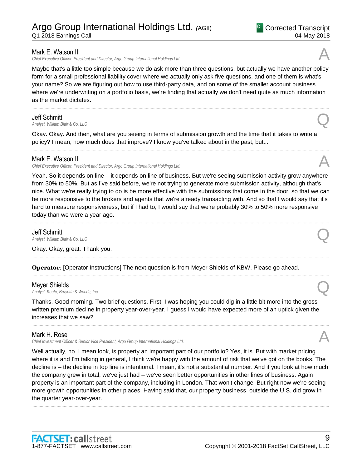# Argo Group International Holdings Ltd. *(*AGII)

Q1 2018 Earnings Call

### Mark E. Watson III

*Chief Executive Officer, President and Director, Argo Group International Holdings Ltd.* A

Maybe that's a little too simple because we do ask more than three questions, but actually we have another policy form for a small professional liability cover where we actually only ask five questions, and one of them is what's your name? So we are figuring out how to use third-party data, and on some of the smaller account business where we're underwriting on a portfolio basis, we're finding that actually we don't need quite as much information as the market dictates.

......................................................................................................................................................................................................................................................

......................................................................................................................................................................................................................................................

**Jeff Schmitt**<br>Analyst, William Blair & Co. LLC *Analyst, William Blair & Co. LLC* Q

Okay. Okay. And then, what are you seeing in terms of submission growth and the time that it takes to write a policy? I mean, how much does that improve? I know you've talked about in the past, but...

### Mark E. Watson III

*Chief Executive Officer, President and Director, Argo Group International Holdings Ltd.* A

Yeah. So it depends on line – it depends on line of business. But we're seeing submission activity grow anywhere from 30% to 50%. But as I've said before, we're not trying to generate more submission activity, although that's nice. What we're really trying to do is be more effective with the submissions that come in the door, so that we can be more responsive to the brokers and agents that we're already transacting with. And so that I would say that it's hard to measure responsiveness, but if I had to, I would say that we're probably 30% to 50% more responsive today than we were a year ago.

......................................................................................................................................................................................................................................................

......................................................................................................................................................................................................................................................

......................................................................................................................................................................................................................................................

Jeff Schmitt *Analyst, William Blair & Co. LLC* Q

Okay. Okay, great. Thank you.

**Operator**: [Operator Instructions] The next question is from Meyer Shields of KBW. Please go ahead.

### Meyer Shields

*Analyst, Keefe, Bruyette & Woods, Inc.* Q

Thanks. Good morning. Two brief questions. First, I was hoping you could dig in a little bit more into the gross written premium decline in property year-over-year. I guess I would have expected more of an uptick given the increases that we saw?

......................................................................................................................................................................................................................................................

### Mark H. Rose

*Chief Investment Officer & Senior Vice President, Argo Group International Holdings Ltd.* A

Well actually, no. I mean look, is property an important part of our portfolio? Yes, it is. But with market pricing where it is and I'm talking in general, I think we're happy with the amount of risk that we've got on the books. The decline is – the decline in top line is intentional. I mean, it's not a substantial number. And if you look at how much the company grew in total, we've just had – we've seen better opportunities in other lines of business. Again property is an important part of the company, including in London. That won't change. But right now we're seeing more growth opportunities in other places. Having said that, our property business, outside the U.S. did grow in the quarter year-over-year.

......................................................................................................................................................................................................................................................





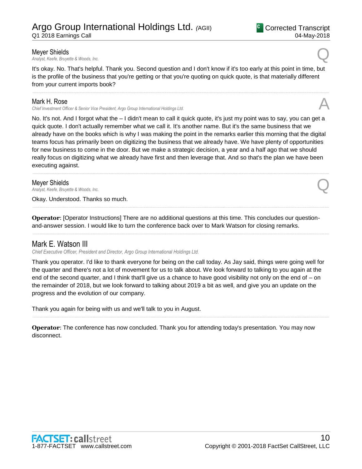### Meyer Shields

*Analyst, Keefe, Bruyette & Woods, Inc.* Q

It's okay. No. That's helpful. Thank you. Second question and I don't know if it's too early at this point in time, but is the profile of the business that you're getting or that you're quoting on quick quote, is that materially different from your current imports book?

......................................................................................................................................................................................................................................................

### Mark H. Rose

*Chief Investment Officer & Senior Vice President, Argo Group International Holdings Ltd.* A

No. It's not. And I forgot what the – I didn't mean to call it quick quote, it's just my point was to say, you can get a quick quote. I don't actually remember what we call it. It's another name. But it's the same business that we already have on the books which is why I was making the point in the remarks earlier this morning that the digital teams focus has primarily been on digitizing the business that we already have. We have plenty of opportunities for new business to come in the door. But we make a strategic decision, a year and a half ago that we should really focus on digitizing what we already have first and then leverage that. And so that's the plan we have been executing against.

......................................................................................................................................................................................................................................................

......................................................................................................................................................................................................................................................

......................................................................................................................................................................................................................................................

### Meyer Shields

*Analyst, Keefe, Bruyette & Woods, Inc.* Q

Okay. Understood. Thanks so much.

**Operator**: [Operator Instructions] There are no additional questions at this time. This concludes our questionand-answer session. I would like to turn the conference back over to Mark Watson for closing remarks.

## Mark E. Watson III

*Chief Executive Officer, President and Director, Argo Group International Holdings Ltd.*

Thank you operator. I'd like to thank everyone for being on the call today. As Jay said, things were going well for the quarter and there's not a lot of movement for us to talk about. We look forward to talking to you again at the end of the second quarter, and I think that'll give us a chance to have good visibility not only on the end of – on the remainder of 2018, but we look forward to talking about 2019 a bit as well, and give you an update on the progress and the evolution of our company.

Thank you again for being with us and we'll talk to you in August.

**Operator**: The conference has now concluded. Thank you for attending today's presentation. You may now disconnect.

......................................................................................................................................................................................................................................................